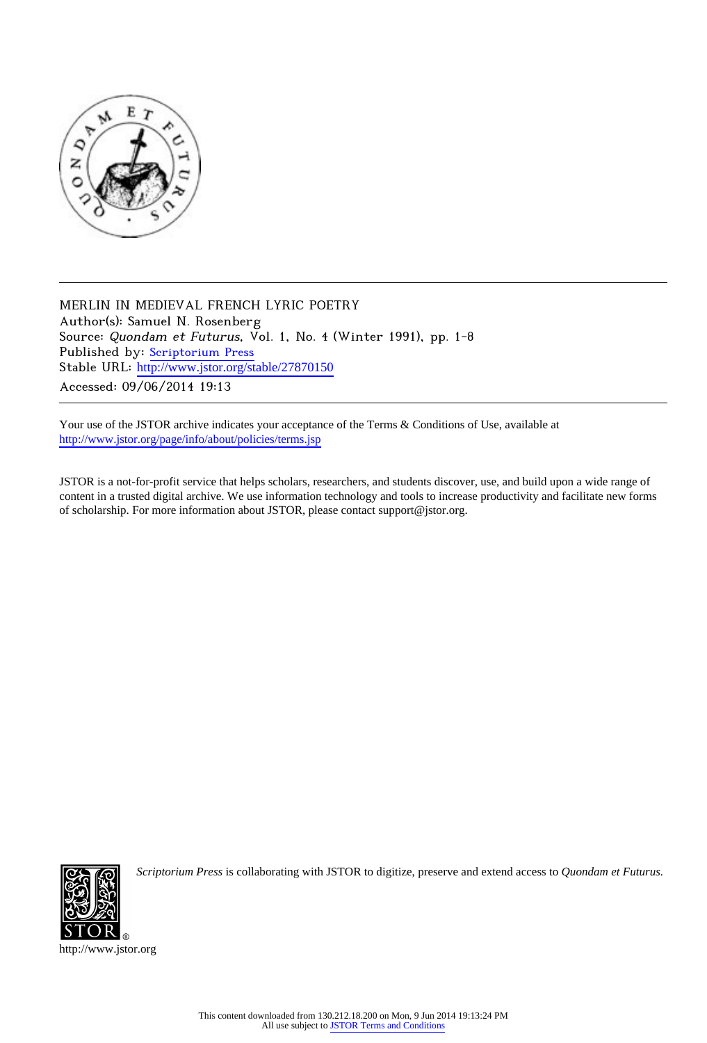

MERLIN IN MEDIEVAL FRENCH LYRIC POETRY Author(s): Samuel N. Rosenberg Source: Quondam et Futurus, Vol. 1, No. 4 (Winter 1991), pp. 1-8 Published by: [Scriptorium Press](http://www.jstor.org/action/showPublisher?publisherCode=scriptorium) Stable URL: http://www.jstor.org/stable/27870150 Accessed: 09/06/2014 19:13

Your use of the JSTOR archive indicates your acceptance of the Terms & Conditions of Use, available at <http://www.jstor.org/page/info/about/policies/terms.jsp>

JSTOR is a not-for-profit service that helps scholars, researchers, and students discover, use, and build upon a wide range of content in a trusted digital archive. We use information technology and tools to increase productivity and facilitate new forms of scholarship. For more information about JSTOR, please contact support@jstor.org.



*Scriptorium Press* is collaborating with JSTOR to digitize, preserve and extend access to *Quondam et Futurus.*

http://www.jstor.org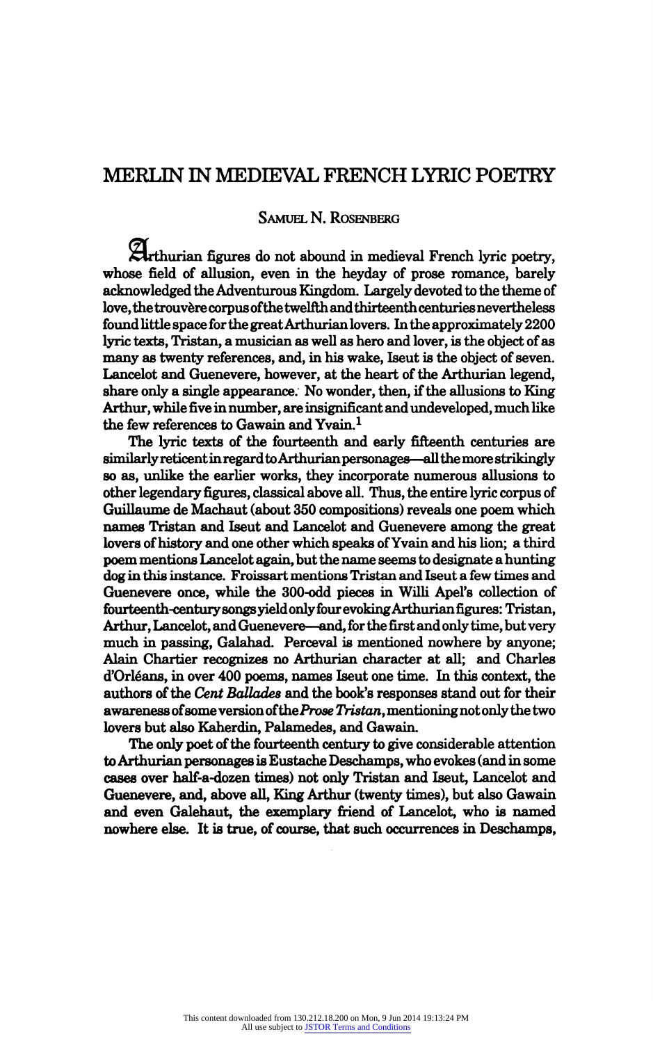# MERLIN IN MEDIEVAL FRENCH LYRIC POETRY

## Samuel N. Rosenberg

Arthurian figures do not abound in medieval French lyric poetry, whose field of allusion, even in the heyday of prose romance, barely acknowledged the Adventurous Kingdom. Largely devoted to the theme of love, the trouvère corpus of the twelfth and thirteenth centuries nevertheless found little space for the great Arthurian lovers. In the approximately 2200 lyric texts, Tristan, a musician as well as hero and lover, is the object of as many as twenty references, and, in his wake, Iseut is the object of seven. Lancelot and Guenevere, however, at the heart of the Arthurian legend, share only a single appearance. No wonder, then, if the allusions to King Arthur, while five in number, are insignificant and undeveloped, much like the few references to Gawain and Yvain.<sup>1</sup>

The lyric texts of the fourteenth and early fifteenth centuries are similarly reticent in regard to Arthurian personages—all the more strikingly so as, unlike the earlier works, they incorporate numerous allusions to other legendary figures, classical above all. Thus, the entire lyric corpus of Guillaume de Machaut (about 350 compositions) reveals one poem which names Tristan and Iseut and Lancelot and Guenevere among the great lovers of history and one other which speaks of Yvain and his lion; a third poem mentions Lancelot again, but the name seems to designate a hunting dog in this instance. Froissart mentions Tristan and Iseut a few times and Guenevere once, while the 300-odd pieces in Willi Apel's collection of fourteenth-century songs yield only four evoking Arthurian figures: Tristan, Arthur, Lancelot, and Guenevere-and, for the first and only time, but very much in passing, Galahad. Perceval is mentioned nowhere by anyone; Alain Chartier recognizes no Arthurian character at all; and Charles d'Orl?ans, in over 400 poems, names Iseut one time. In this context, the authors of the Cent Ballades and the book's responses stand out for their awareness of some version of the Prose Tristan, mentioning not only the two lovers but also Kaherdin, Palamedes, and Gawain.

The only poet of the fourteenth century to give considerable attention to Arthurian personages is Eustache Deschamps, who evokes (and in some cases over half-a-dozen times) not only Tristan and Iseut, Lancelot and Guenevere, and, above all, King Arthur (twenty times), but also Gawain and even Galehaut, the exemplary friend of Lancelot, who is named nowhere else. It is true, of course, that such occurrences in Deschamps,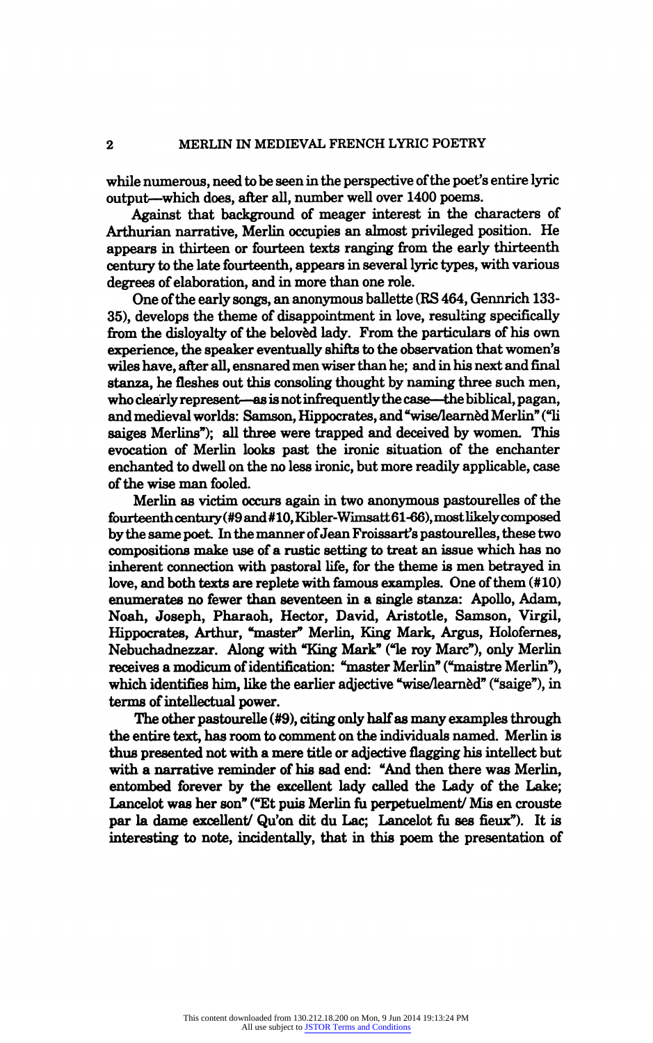while numerous, need to be seen in the perspective of the poet's entire lyric output—which does, after all, number well over 1400 poems.

Against that background of meager interest in the characters of Arthurian narrative, Merlin occupies an almost privileged position. He appears in thirteen or fourteen texts ranging from the early thirteenth century to the late fourteenth, appears in several lyric types, with various degrees of elaboration, and in more than one role.

One of the early songs, an anonymous ballette (RS 464, Gennrich 133 35), develops the theme of disappointment in love, resulting specifically from the disloyalty of the beloved lady. From the particulars of his own experience, the speaker eventually shifts to the observation that women's wiles have, after all, ensnared men wiser than he; and in his next and final stanza, he fleshes out this consoling thought by naming three such men, who clearly represent—as is not infrequently the case—the biblical, pagan, and medieval worlds: Samson, Hippocrates, and "wise/learned Merlin" ("li saiges Merlins"); all three were trapped and deceived by women. This evocation of Merlin looks past the ironic situation of the enchanter enchanted to dwell on the no less ironic, but more readily applicable, case of the wise man fooled.

Merlin as victim occurs again in two anonymous pastourelles of the fourteenth century (#9 and #10, Kibler-Wimsatt 61-66), most likely composed by the same poet In the manner of Jean Froissarfs pastourelles, these two compositions make use of a rustic setting to treat an issue which has no inherent connection with pastoral life, for the theme is men betrayed in love, and both texts are replete with famous examples. One of them (#10) enumerates no fewer than seventeen in a single stanza: Apollo, Adam, Noah, Joseph, Pharaoh, Hector, David, Aristotle, Samson, Virgil, Hippocrates, Arthur, "master" Merlin, King Mark, Argus, Holofernes, Nebuchadnezzar. Along with "King Mark" ("le roy Marc"), only Merlin receives a modicum of identification: "master Merlin" ("maistre Merlin"), which identifies him, like the earlier adjective "wise/learned" ("saige"), in terms of intellectual power.

The other pastourelle (#9), citing only half as many examples through the entire text, has room to comment on the individuals named. Merlin is thus presented not with a mere title or adjective flagging his intellect but with a narrative reminder of his sad end: "And then there was Merlin, entombed forever by the excellent lady called the Lady of the Lake; Lancelot was her son" ("Et puis Merlin fu perpetuelment/ Mis en crouste par la dame excellent/ Qu'on dit du Lac; Lancelot fu ses fieux"). It is interesting to note, incidentally, that in this poem the presentation of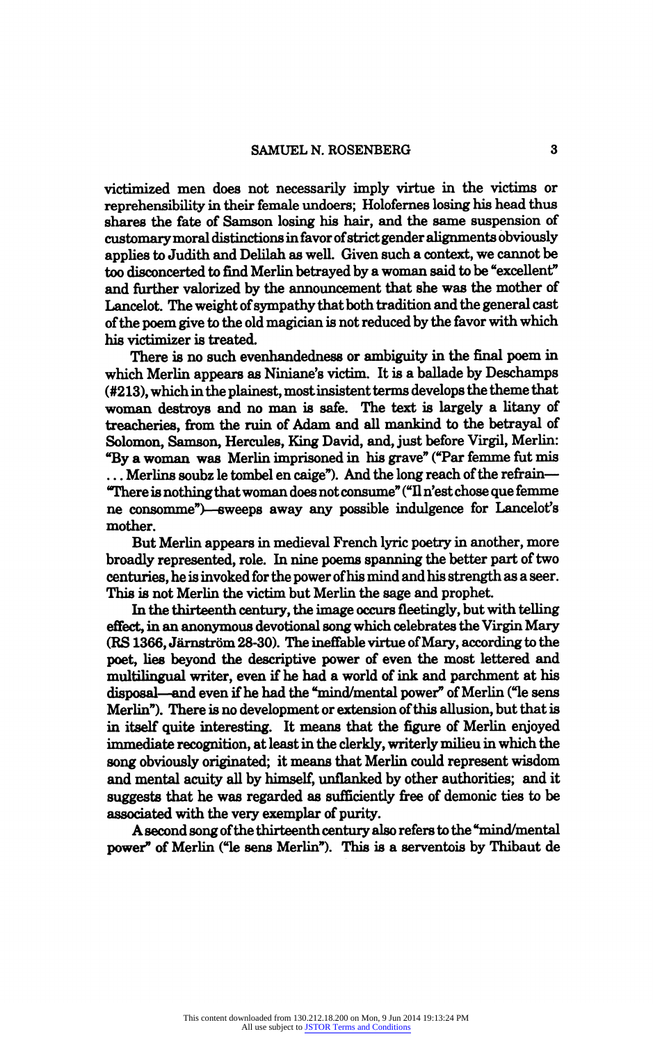victimized men does not necessarily imply virtue in the victims or reprehensibility in their female undoers; Holofernes losing his head thus<br>head the fatter of Courses losing his heir and the same suspension of shares the fate of Samson losing his hair, and the same suspension of customary moral distinctions in favor of strict gender alignments obviously applies to Judith and Delilah as well. Given such a context, we cannot be<br>defined by the first line of the second because and the heating line too disconcerted to find Merlin betrayed by a woman said to be "excellent" and further valorized by the announcement that she was the mother of Lancelot. The weight of sympathy that both tradition and the general cast of the poem give to the old magician is not reduced by the favor with which his victimizer is treated.

There is no such evenhandedness or ambiguity in the final poem in which Merlin appears as Niniane's victim. It is a ballade by Deschamps (#213), which in the plainest, most insistent terms develops the theme that woman destroys and no man is safe. The text is largely a litany of treacheries, from the ruin of Adam and all mankind to the betrayal of Solomon, Samson, Hercules, King David, and, just before Virgil, Merlin: "By a woman was Merlin imprisoned in his grave" ("Par femme fut mis ... Merlins soubz le tombel en caige"). And the long reach of the refrain-"There is nothing that woman does not consume" ("A n'est chose que femme ne consomme")—sweeps away any possible indulgence for Lancelot's mother.

But Merlin appears in medieval French lyric poetry in another, more broadly represented, role. In nine poems spanning the better part of two centuries, he is invoked for the power of his mind and his strength as a seer. This is not Merlin the victim but Merlin the sage and prophet.

In the thirteenth century, the image occurs fleetingly, but with telling effect, in an anonymous devotional song which celebrates the Virgin Mary  $(RS 1366, Järnström 28-30)$ . The ineffable virtue of Mary, according to the poet, lies beyond the descriptive power of even the most lettered and multilingual writer, even if he had a world of ink and parchment at his disposal—and even if he had the "mind/mental power" of Merlin ("le sens Merlin"). There is no development or extension of this allusion, but that is in itself quite interesting. It means that the figure of Merlin enjoyed immediate recognition, at least in the clerkly, writerly milieu in which the song obviously originated; it means that Merlin could represent wisdom and mental acuity all by himself, unflanked by other authorities; and it suggests that he was regarded as sufficiently free of demonic ties to be associated with the very exemplar of purity.

A second song of the thirteenth century also refers to the "mind/mental power\* of Merlin ("le sens Merlin"). This is a serventois by Thibaut de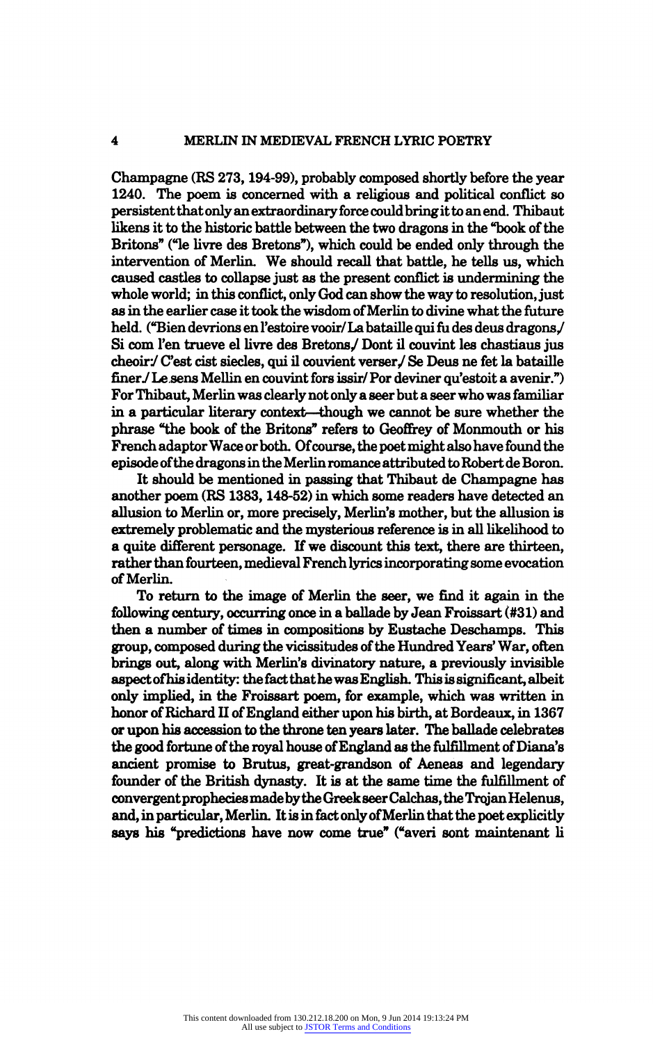### 4 MERLIN IN MEDIEVAL FRENCH LYRIC POETRY

Champagne (RS 273,194-99), probably composed shortly before the year 1240. The poem is concerned with a religious and political conflict so persistent that only an extraordinary force could bring it to an end. Thibaut likens it to the historic battle between the two dragons in the "book of the Britons" ("le livre des Bretons"), which could be ended only through the intervention of Merlin. We should recall that battle, he tells us, which caused castles to collapse just as the present conflict is undermining the whole world; in this conflict, only God can show the way to resolution, just as in the earlier case it took the wisdom of Merlin to divine what the future held. ("Bien devrions en l'estoire vooir/La bataille qui fil des deus dragons/ Si com l'en trueve el livre des Bretons/ Dont il couvint les chastiaus jus  $cheoir. C'est cist siecles, qui il couvient verser. Se Deus ne fet la bataille$ finer/ Le sens Mellin en couvint fors issir/ Por deviner qu'estoit a avenir.") For Thibaut, Merlin was clearly not only a seer but a seer who was familiar in a particular literary context—though we cannot be sure whether the phrase "the book of the Britons" refers to Geoffrey of Monmouth or his French adaptor Wace or both. Of course, the poet might also have found the episode of the dragons in the Merlin romance attributed to Robert de Boron.

It should be mentioned in passing that Thibaut de Champagne has another poem (RS 1383,148-52) in which some readers have detected an allusion to Merlin or, more precisely, Merlin's mother, but the allusion is extremely problematic and the mysterious reference is in all likelihood to a quite different personage. If we discount this text, there are thirteen, rather than fourteen, medieval French lyrics incorporating some evocation of Merlin.

To return to the image of Merlin the seer, we find it again in the following century, occurring once in a ballade by Jean Froissart (#31) and then a number of times in compositions by Eustache Deschamps. This group, composed during the vicissitudes of the Hundred Years' War, often brings out, along with Merlin's divinatory nature, a previously invisible aspect ofhis identity: the fact that he was English. This is significant, albeit only implied, in the Froissart poem, for example, which was written in honor of Richard H of England either upon his birth, at Bordeaux, in 1367 or upon his accession to the throne ten years later. The ballade celebrates the good fortune of the royal house of England as the fulfillment of Diana's ancient promise to Brutus, great-grandson of Aeneas and legendary founder of the British dynasty. It is at the same time the fulfillment of convergent prophecies made by the Greek seer Calchas, the Trojan Helenus, and, in particular, Merlin. It is in fact only of Merlin that the poet explicitly says his "predictions have now come true" ("averi sont maintenant Ii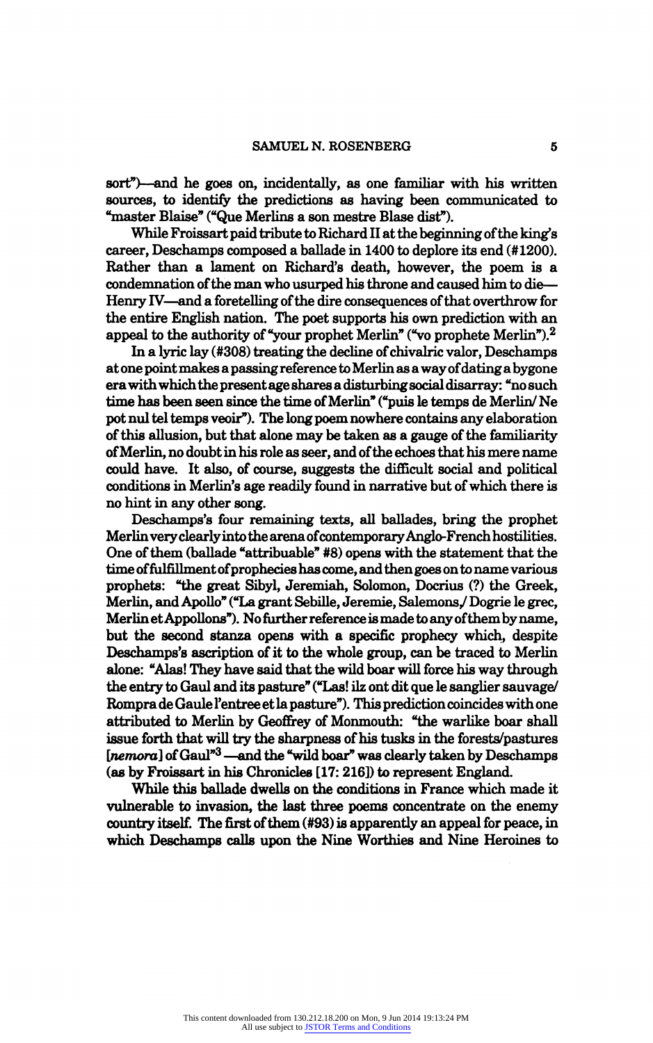sort")—and he goes on, incidentally, as one familiar with his written sources, to identify the predictions as having been communicated to "master Blaise" ("Que Merlins a son mestre Blase dist").

While Froissart paid tribute to Richard II at the beginning of the king's career, Deschamps composed a ballade in 1400 to deplore its end (#1200). Rather than a lament on Richard's death, however, the poem is a condemnation of the man who usurped his throne and caused him to die-Henry IV—and a foretelling of the dire consequences of that overthrow for the entire English nation. The poet supports his own prediction with an appeal to the authority of "your prophet Merlin" ("vo prophete Merlin").<sup>2</sup>

In a lyric lay (#308) treating the decline of chivalric valor, Deschamps at one point makes a passing reference to Merlin as a way of dating a bygone era with which the present age shares a disturbing social disarray: "nosuch time has been seen since the time of Merlin" ("puis le temps de Merlin/ Ne pot nul tel temps veoir"). The long poem nowhere contains any elaboration of this allusion, but that alone may be taken as a gauge of the familiarity of Merlin, no doubt in his role as seer, and of the echoes that his mere name could have. It also, of course, suggests the difficult social and political conditions in Merlin's age readily found in narrative but of which there is no hint in any other song.

Deschamps's four remaining texts, all ballades, bring the prophet Merlin very clearly into the arena of contemporary Anglo-French hostilities. One of them (ballade "attribuable" #8) opens with the statement that the time of fulfillment of prophecies has come, and then goes on to name various prophets: "the great Sibyl, Jeremiah, Solomon, Docrius (?) the Greek, Merlin, and Apollo" ("La grant Sebille, Jeremie, Salemons/ Dogrie le grec, Merlin et Appollons"). No further reference is made to any of them by name, but the second stanza opens with a specific prophecy which, despite Deschamps's ascription of it to the whole group, can be traced to Merlin alone: "Alas! They have said that the wild boar will force his way through the entry to Gaul and its pasture" ("Las! ilz ont dit que le sanglier sauvage/ Rompra de Gaule l'entree et la pasture"). This prediction coincides with one attributed to Merlin by Geoffrey of Monmouth: "the warlike boar shall issue forth that will try the sharpness of his tusks in the forests/pastures  $[$  *new* ] of Gaul<sup>3</sup> — and the "wild boar" was clearly taken by Deschamps(as by Froissart in his Chronicles  $[17:216]$ ) to represent England.

While this ballade dwells on the conditions in France which made it vulnerable to invasion, the last three poems concentrate on the enemy country itself. The first of them (#93) is apparently an appeal for peace, in which Deschamps calls upon the Nine Worthies and Nine Heroines to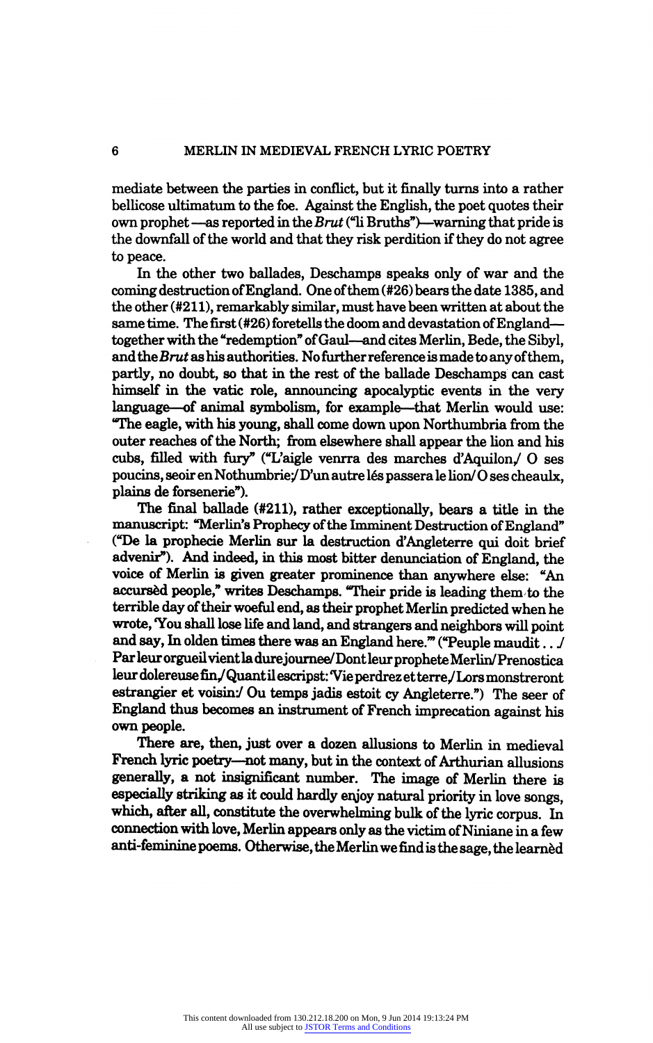mediate between the parties in conflict, but it finally turns into a rather bellicose ultimatum to the foe. Against the English, the poet quotes their own prophet —as reported in the Brut  $("$ li Bruths")—warning that pride is the downfall of the world and that they risk perdition if they do not agree to peace.

In the other two ballades, Deschamps speaks only of war and the coming destruction of England. One of them (#26) bears the date 1385, and the other (#211), remarkably similar, must have been written at about the same time. The first (#26) foretells the doom and devastation of Englandtogether with the "redemption" of Gaul—and cites Merlin, Bede, the Sibyl, and the Brut as his authorities. No further reference is made to any of them, partly, no doubt, so that in the rest of the ballade Deschamps can cast himself in the vatic role, announcing apocalyptic events in the very language—of animal symbolism, for example—that Merlin would use: "The eagle, with his young, shall come down upon Northumbria from the outer reaches of the North; from elsewhere shall appear the lion and his cubs, filled with fury" ("L'aigle venrra des marches d'Aquilon/ O ses poucins, seoir en Nothumbrie/D'un autre lés passera le lion/O ses cheaulx, plains de forsenerie").

The final ballade (#211), rather exceptionally, bears a title in the manuscript: "Merlin's Prophecy of the Imminent Destruction of England" ("De la prophecie Merlin sur la destruction d'Angleterre qui doit brief advenir"). And indeed, in this most bitter denunciation of England, the voice of Merlin is given greater prominence than anywhere else: "An accursèd people," writes Deschamps. "Their pride is leading them to the terrible day of their woeful end, as their prophet Merlin predicted when he wrote, You shall lose life and land, and strangers and neighbors will point and say, In olden times there was an England here.'" ("Peuple maudit.. J Par leur orgueil vient ladurejournee/Dontleurprophete Merlin/Prenostica leur dolereuse fin/Quant il escripst: "Vie perdrez et terre/Lors monstreront estrangier et voisin:/ Ou temps jadis estoit cy Angleterre.") The seer of England thus becomes an instrument of French imprecation against his own people.

There are, then, just over a dozen allusions to Merlin in medieval French lyric poetry-not many, but in the context of Arthurian allusions generally, a not insignificant number. The image of Merlin there is especially striking as it could hardly enjoy natural priority in love songs, which, after all, constitute the overwhelming bulk of the lyric corpus. In connection with love, Merlin appears only as the victim of Niniane in a few anti-feminine poems. Otherwise, the Merlin we find is the sage, the learned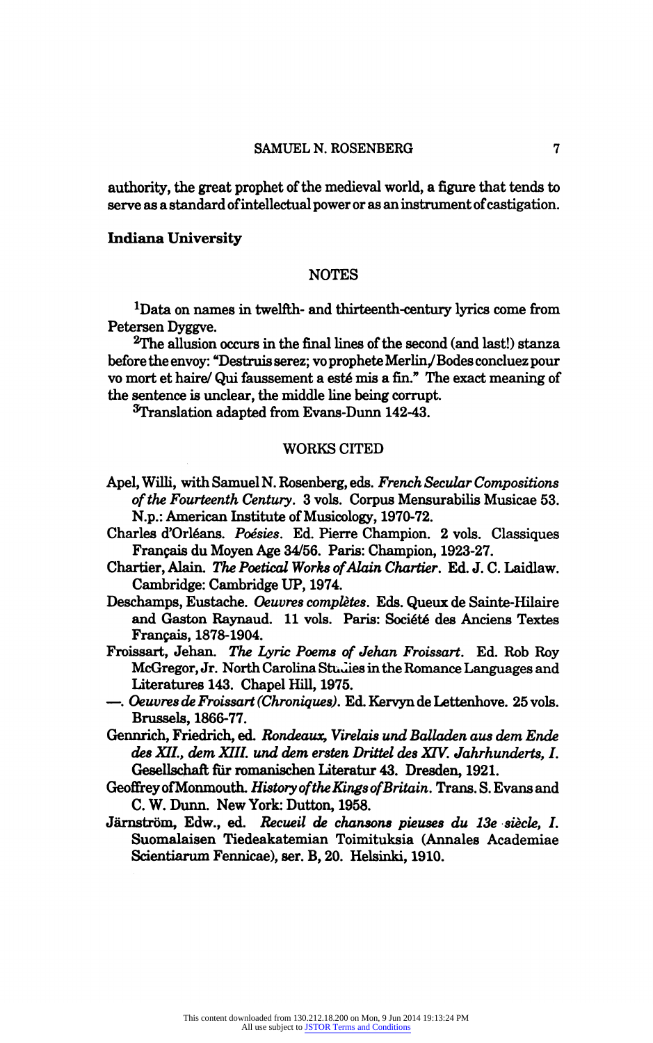authority, the great prophet of the medieval world, a figure that tends to serve as a standard of intellectual power or as an instrument of castigation.

#### Indiana University

#### NOTES

1Data on names in twelfth- and thirteenth-century lyrics come from Petersen Dyggve.

2The allusion occurs in the final lines of the second (and last!) stanza before the envoy: "Destruis serez; vo prophete Merlin, / Bodes concluez pour vo mort et haire/ Qui faussement a esté mis a fin." The exact meaning of the sentence is unclear, the middle line being corrupt.

STranslation adapted from Evans-Dunn 142-43.

#### WORKS CITED

- Apel, Willi, with Samuel N. Rosenberg, eds. French Secular Compositions of the Fourteenth Century. 3 vols. Corpus Mensurabilis Musicae 53. N.p.: American Institute of Musicology, 1970-72.
- Charles d'Orléans. Poésies. Ed. Pierre Champion. 2 vols. Classiques Fran?ais du Moyen Age 34/56. Paris: Champion, 1923-27.
- Chartier, Alain. The Poetical Works of Alain Chartier. Ed. J. C. Laidlaw. Cambridge: Cambridge UP, 1974.
- Deschamps, Eustache. Oeuvres complètes. Eds. Queux de Sainte-Hilaire and Gaston Raynaud. 11 vols. Paris: Société des Anciens Textes Fran?ais, 1878-1904.
- Froissart, Jehan. The Lyric Poems of Jehan Froissart. Ed. Rob Roy McGregor, Jr. North Carolina Studies in the Romance Languages and Literatures 143. Chapel Hill, 1975.
- ?. Oeuvres de Froissart (Chroniques). Ed. Kervyn de Lettenhove. 25 vols. Brussels, 1866-77.
- Gennrich, Friedrich, ed. Rondeaux, Virelais und Balladen aus dem Ende des XII., dem XIIL und dem ersten Drittel des XIV. Jahrhunderts, I. Gesellschaft fur romanischen Literatur 43. Dresden, 1921.
- Geoffrey of Monmouth. History of the Kings of Britain. Trans. S. Evans and C. W. Dunn. New York: Dutton, 1958.
- Järnström, Edw., ed. Recueil de chansons pieuses du 13e siècle, I. Suomalaisen Tiedeakatemian Toimituksia (Annales Academiae Scientiarum Fennicae), ser. B, 20. Helsinki, 1910.